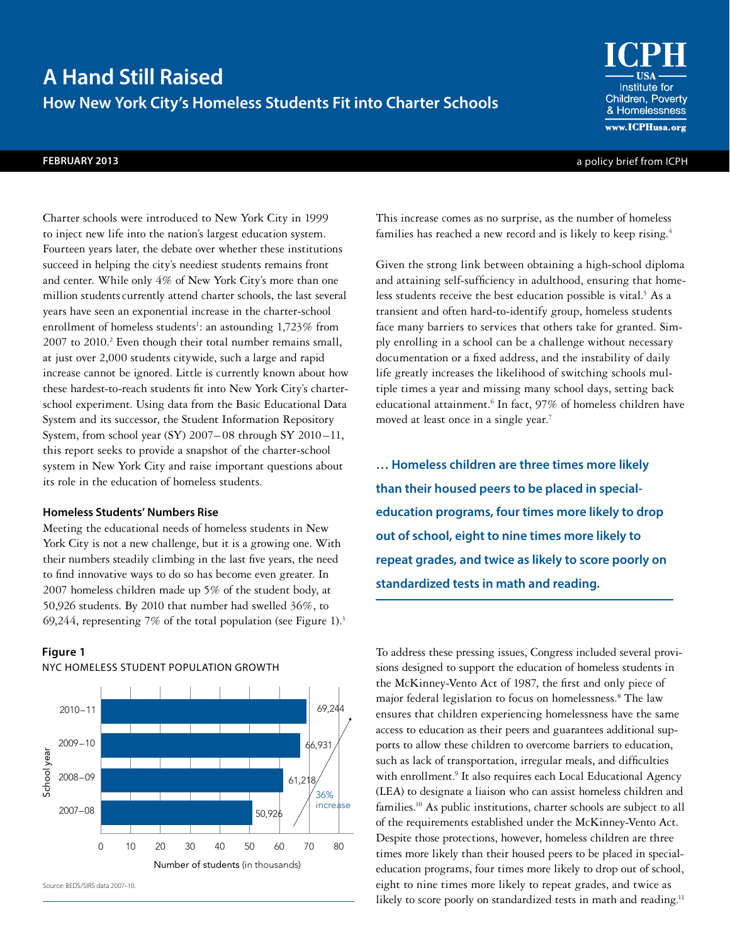# **A Hand Still Raised How New York City's Homeless Students Fit into Charter Schools**

This increase comes as no surprise, as the number of homeless families has reached a new record and is likely to keep rising.<sup>4</sup>

Given the strong link between obtaining a high-school diploma and attaining self-sufficiency in adulthood, ensuring that homeless students receive the best education possible is vital.<sup>5</sup> As a transient and often hard-to-identify group, homeless students face many barriers to services that others take for granted. Simply enrolling in a school can be a challenge without necessary documentation or a fixed address, and the instability of daily life greatly increases the likelihood of switching schools multiple times a year and missing many school days, setting back educational attainment.<sup>6</sup> In fact, 97% of homeless children have moved at least once in a single year.<sup>7</sup>

**… Homeless children are three times more likely than their housed peers to be placed in specialeducation programs, four times more likely to drop out of school, eight to nine times more likely to repeat grades, and twice as likely to score poorly on standardized tests in math and reading.**

To address these pressing issues, Congress included several provisions designed to support the education of homeless students in the McKinney-Vento Act of 1987, the first and only piece of major federal legislation to focus on homelessness.8 The law ensures that children experiencing homelessness have the same access to education as their peers and guarantees additional supports to allow these children to overcome barriers to education, such as lack of transportation, irregular meals, and difficulties with enrollment.<sup>9</sup> It also requires each Local Educational Agency (LEA) to designate a liaison who can assist homeless children and families.10 As public institutions, charter schools are subject to all of the requirements established under the McKinney-Vento Act. Despite those protections, however, homeless children are three times more likely than their housed peers to be placed in specialeducation programs, four times more likely to drop out of school, eight to nine times more likely to repeat grades, and twice as likely to score poorly on standardized tests in math and reading.<sup>11</sup>

# at just over 2,000 students citywide, such a large and rapid increase cannot be ignored. Little is currently known about how these hardest-to-reach students fit into New York City's charter-

school experiment. Using data from the Basic Educational Data System and its successor, the Student Information Repository System, from school year (SY) 2007– 08 through SY 2010 –11, this report seeks to provide a snapshot of the charter-school system in New York City and raise important questions about its role in the education of homeless students.

Charter schools were introduced to New York City in 1999 to inject new life into the nation's largest education system. Fourteen years later, the debate over whether these institutions succeed in helping the city's neediest students remains front and center. While only 4% of New York City's more than one million students currently attend charter schools, the last several years have seen an exponential increase in the charter-school enrollment of homeless students<sup>1</sup>: an astounding 1,723% from 2007 to 2010.<sup>2</sup> Even though their total number remains small,

# **Homeless Students' Numbers Rise**

Meeting the educational needs of homeless students in New York City is not a new challenge, but it is a growing one. With their numbers steadily climbing in the last five years, the need to find innovative ways to do so has become even greater. In 2007 homeless children made up 5% of the student body, at 50,926 students. By 2010 that number had swelled 36%, to 69,244, representing 7% of the total population (see Figure 1).<sup>3</sup>

# **Figure 1**





Source: BEDS/SIRS data 2007–10.

**FEBRUARY 2013** a policy brief from ICPH

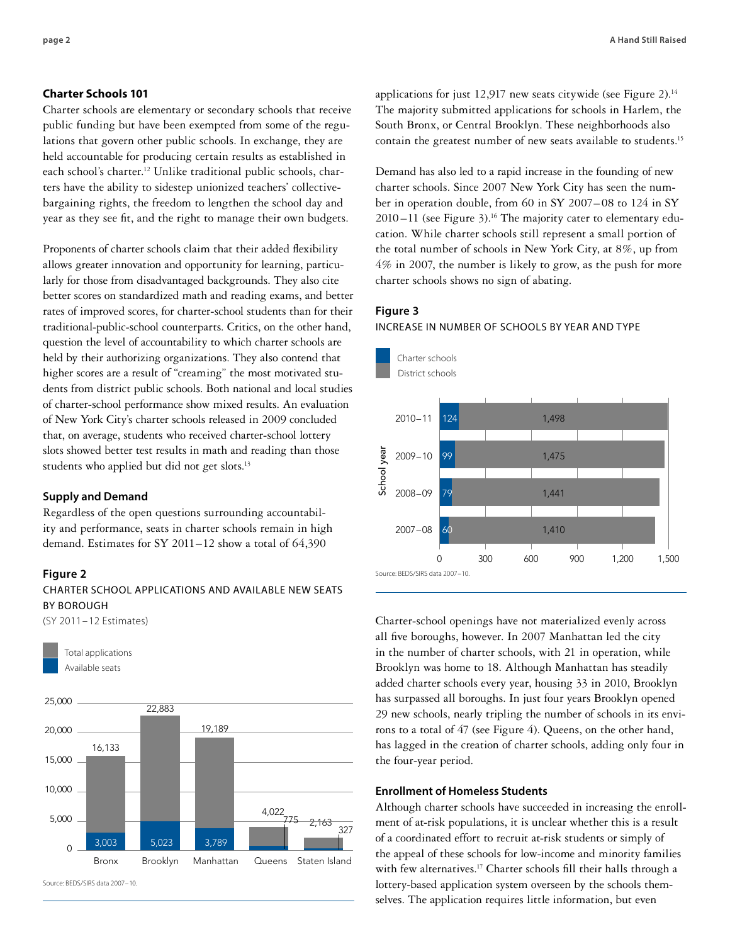#### **Charter Schools 101**

Charter schools are elementary or secondary schools that receive public funding but have been exempted from some of the regulations that govern other public schools. In exchange, they are held accountable for producing certain results as established in each school's charter.<sup>12</sup> Unlike traditional public schools, charters have the ability to sidestep unionized teachers' collectivebargaining rights, the freedom to lengthen the school day and year as they see fit, and the right to manage their own budgets.

Proponents of charter schools claim that their added flexibility allows greater innovation and opportunity for learning, particularly for those from disadvantaged backgrounds. They also cite better scores on standardized math and reading exams, and better rates of improved scores, for charter-school students than for their traditional-public-school counterparts. Critics, on the other hand, question the level of accountability to which charter schools are held by their authorizing organizations. They also contend that higher scores are a result of "creaming" the most motivated students from district public schools. Both national and local studies of charter-school performance show mixed results. An evaluation of New York City's charter schools released in 2009 concluded that, on average, students who received charter-school lottery slots showed better test results in math and reading than those students who applied but did not get slots.<sup>13</sup>

#### **Supply and Demand**

Regardless of the open questions surrounding accountability and performance, seats in charter schools remain in high demand. Estimates for SY 2011–12 show a total of 64,390

#### **Figure 2**

# CHARTER SCHOOL APPLICATIONS AND AVAILABLE NEW SEATS BY BOROUGH

(SY 2011–12 Estimates)



Source: BEDS/SIRS data 2007–10.

applications for just 12,917 new seats citywide (see Figure 2).<sup>14</sup> The majority submitted applications for schools in Harlem, the South Bronx, or Central Brooklyn. These neighborhoods also contain the greatest number of new seats available to students.15

Demand has also led to a rapid increase in the founding of new charter schools. Since 2007 New York City has seen the number in operation double, from 60 in SY 2007– 08 to 124 in SY  $2010 - 11$  (see Figure 3).<sup>16</sup> The majority cater to elementary education. While charter schools still represent a small portion of the total number of schools in New York City, at 8%, up from 4% in 2007, the number is likely to grow, as the push for more charter schools shows no sign of abating.

# **Figure 3**



INCREASE IN NUMBER OF SCHOOLS BY YEAR AND TYPE

Charter-school openings have not materialized evenly across all five boroughs, however. In 2007 Manhattan led the city in the number of charter schools, with 21 in operation, while Brooklyn was home to 18. Although Manhattan has steadily added charter schools every year, housing 33 in 2010, Brooklyn has surpassed all boroughs. In just four years Brooklyn opened 29 new schools, nearly tripling the number of schools in its environs to a total of 47 (see Figure 4). Queens, on the other hand, has lagged in the creation of charter schools, adding only four in the four-year period.

# **Enrollment of Homeless Students**

Although charter schools have succeeded in increasing the enrollment of at-risk populations, it is unclear whether this is a result of a coordinated effort to recruit at-risk students or simply of the appeal of these schools for low-income and minority families with few alternatives.<sup>17</sup> Charter schools fill their halls through a lottery-based application system overseen by the schools [them](themselves.The)[selves. The](themselves.The) application requires little information, but even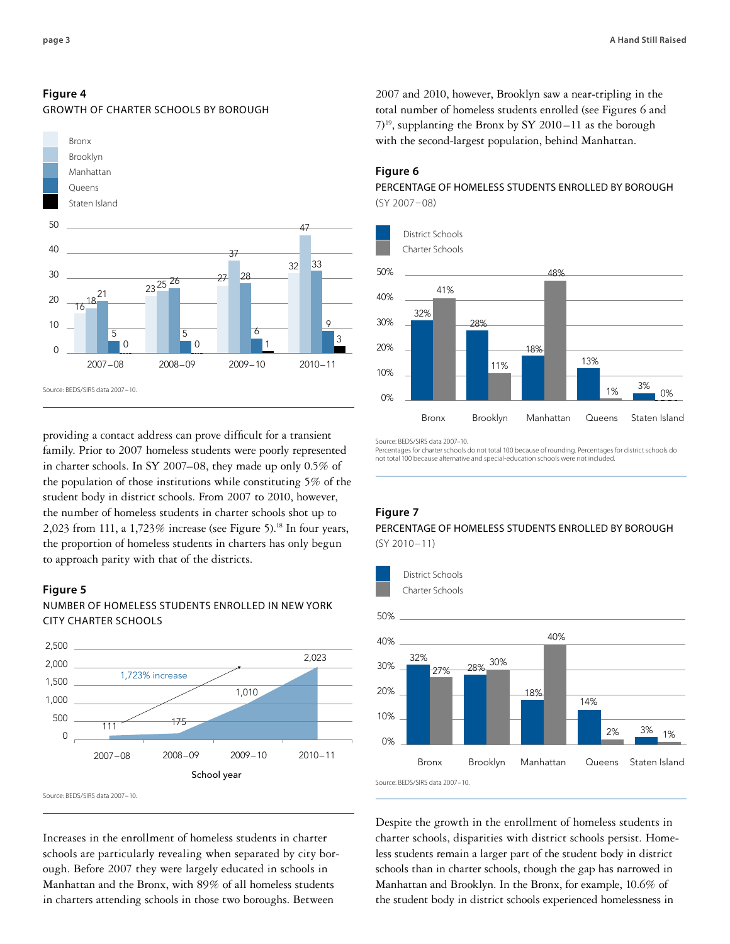# **Figure 4**





providing a contact address can prove difficult for a transient family. Prior to 2007 homeless students were poorly represented in charter schools. In SY 2007–08, they made up only 0.5% of the population of those institutions while constituting 5% of the student body in district schools. From 2007 to 2010, however, the number of homeless students in charter schools shot up to 2,023 from 111, a 1,723% increase (see Figure 5).<sup>18</sup> In four years, the proportion of homeless students in charters has only begun to approach parity with that of the districts.

# **Figure 5**



NUMBER OF HOMELESS STUDENTS ENROLLED IN NEW YORK CITY CHARTER SCHOOLS

Source: BEDS/SIRS data 2007–10.

Increases in the enrollment of homeless students in charter schools are particularly revealing when separated by city borough. Before 2007 they were largely educated in schools in Manhattan and the Bronx, with 89% of all homeless students in charters attending schools in those two boroughs. Between

2007 and 2010, however, Brooklyn saw a near-tripling in the total number of homeless students enrolled (see Figures 6 and  $(7)^{19}$ , supplanting the Bronx by SY 2010 – 11 as the borough with the second-largest population, behind Manhattan.

#### **Figure 6**

PERCENTAGE OF HOMELESS STUDENTS ENROLLED BY BOROUGH (SY 2007–08)



Source: BEDS/SIRS data 2007–10.

Percentages for charter schools do not total 100 because of rounding. Percentages for district schools do not total 100 because alternative and special-education schools were not included.

# **Figure 7**

# PERCENTAGE OF HOMELESS STUDENTS ENROLLED BY BOROUGH (SY 2010–11)



Despite the growth in the enrollment of homeless students in charter schools, disparities with district schools persist. Homeless students remain a larger part of the student body in district schools than in charter schools, though the gap has narrowed in Manhattan and Brooklyn. In the Bronx, for example, 10.6% of the student body in district schools experienced homelessness in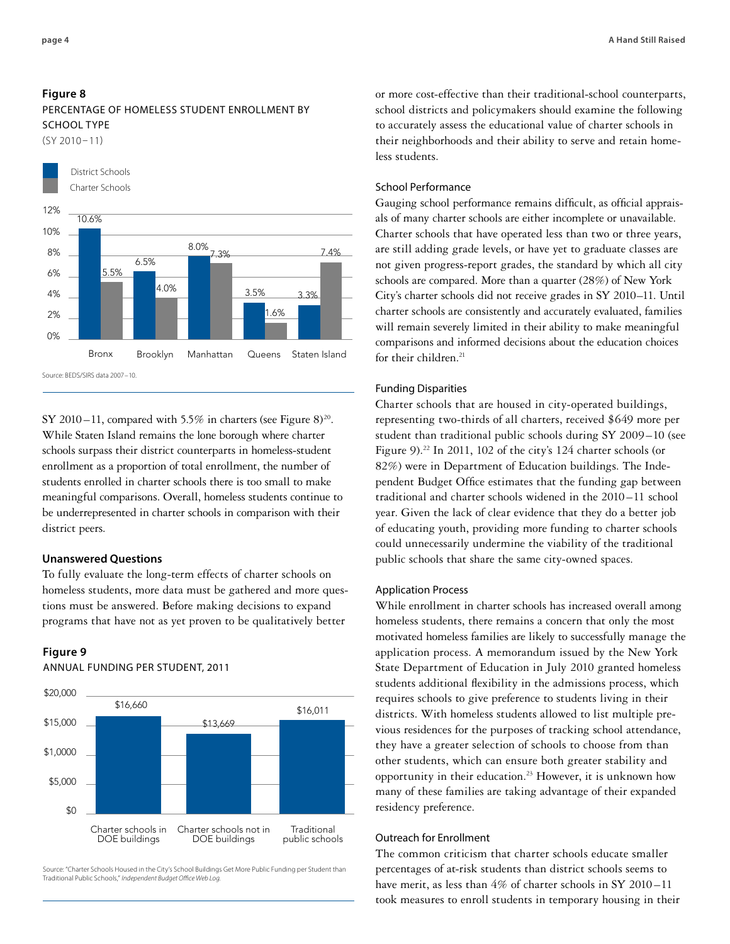(SY 2010–11)



SY 2010 –11, compared with 5.5% in charters (see Figure 8)<sup>20</sup>. While Staten Island remains the lone borough where charter schools surpass their district counterparts in homeless-student enrollment as a proportion of total enrollment, the number of students enrolled in charter schools there is too small to make meaningful comparisons. Overall, homeless students continue to be underrepresented in charter schools in comparison with their district peers.

## **Unanswered Questions**

To fully evaluate the long-term effects of charter schools on homeless students, more data must be gathered and more questions must be answered. Before making decisions to expand programs that have not as yet proven to be qualitatively better

#### **Figure 9**

ANNUAL FUNDING PER STUDENT, 2011



Source: "Charter Schools Housed in the City's School Buildings Get More Public Funding per Student than Traditional Public Schools," *Independent Budget Office Web Log.*

or more cost-effective than their traditional-school counterparts, school districts and policymakers should examine the following to accurately assess the educational value of charter schools in their neighborhoods and their ability to serve and retain homeless students.

# School Performance

Gauging school performance remains difficult, as official appraisals of many charter schools are either incomplete or unavailable. Charter schools that have operated less than two or three years, are still adding grade levels, or have yet to graduate classes are not given progress-report grades, the standard by which all city schools are compared. More than a quarter (28%) of New York City's charter schools did not receive grades in SY 2010–11. Until charter schools are consistently and accurately evaluated, families will remain severely limited in their ability to make meaningful comparisons and informed decisions about the education choices for their children. $21$ 

#### Funding Disparities

Charter schools that are housed in city-operated buildings, representing two-thirds of all charters, received \$649 more per student than traditional public schools during SY 2009–10 (see Figure 9).<sup>22</sup> In 2011, 102 of the city's 124 charter schools (or 82%) were in Department of Education buildings. The Independent Budget Office estimates that the funding gap between traditional and charter schools widened in the 2010 –11 school year. Given the lack of clear evidence that they do a better job of educating youth, providing more funding to charter schools could unnecessarily undermine the viability of the traditional public schools that share the same city-owned spaces.

## Application Process

While enrollment in charter schools has increased overall among homeless students, there remains a concern that only the most motivated homeless families are likely to successfully manage the application process. A memorandum issued by the New York State Department of Education in July 2010 granted homeless students additional flexibility in the admissions process, which requires schools to give preference to students living in their districts. With homeless students allowed to list multiple previous residences for the purposes of tracking school attendance, they have a greater selection of schools to choose from than other students, which can ensure both greater stability and opportunity in their education.23 However, it is unknown how many of these families are taking advantage of their expanded residency preference.

### Outreach for Enrollment

The common criticism that charter schools educate smaller percentages of at-risk students than district schools seems to have merit, as less than  $4\%$  of charter schools in SY 2010-11 took measures to enroll students in temporary housing in their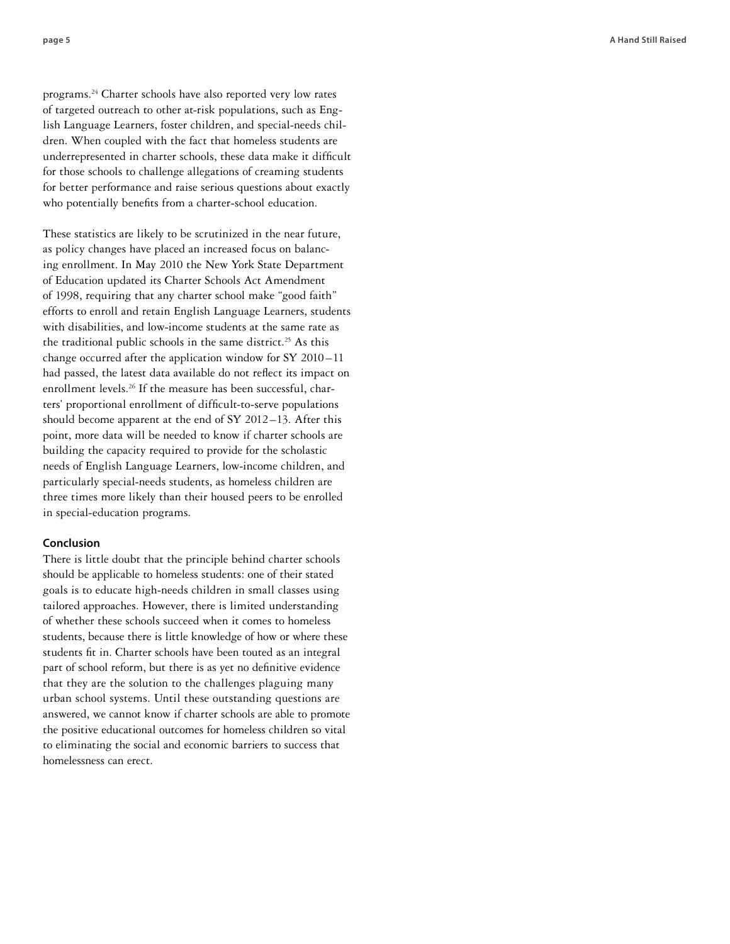programs.24 Charter schools have also reported very low rates of targeted outreach to other at-risk populations, such as Eng lish Language Learners, foster children, and special-needs chil dren. When coupled with the fact that homeless students are underrepresented in charter schools, these data make it difficult for those schools to challenge allegations of creaming students for better performance and raise serious questions about exactly who potentially benefits from a charter-school education.

These statistics are likely to be scrutinized in the near future, as policy changes have placed an increased focus on balanc ing enrollment. In May 2010 the New York State Department of Education updated its Charter Schools Act Amendment of 1998, requiring that any charter school make "good faith" efforts to enroll and retain English Language Learners, students with disabilities, and low-income students at the same rate as the traditional public schools in the same district.<sup>25</sup> As this change occurred after the application window for SY 2010 –11 had passed, the latest data available do not reflect its impact on enrollment levels.<sup>26</sup> If the measure has been successful, charters' proportional enrollment of difficult-to-serve populations should become apparent at the end of SY 2012–13. After this point, more data will be needed to know if charter schools are building the capacity required to provide for the scholastic needs of English Language Learners, low-income children, and particularly special-needs students, as homeless children are three times more likely than their housed peers to be enrolled in special-education programs.

# **Conclusion**

There is little doubt that the principle behind charter schools should be applicable to homeless students: one of their stated goals is to educate high-needs children in small classes using tailored approaches. However, there is limited understanding of whether these schools succeed when it comes to homeless students, because there is little knowledge of how or where these students fit in. Charter schools have been touted as an integral part of school reform, but there is as yet no definitive evidence that they are the solution to the challenges plaguing many urban school systems. Until these outstanding questions are answered, we cannot know if charter schools are able to promote the positive educational outcomes for homeless children so vital to eliminating the social and economic barriers to success that homelessness can erect.